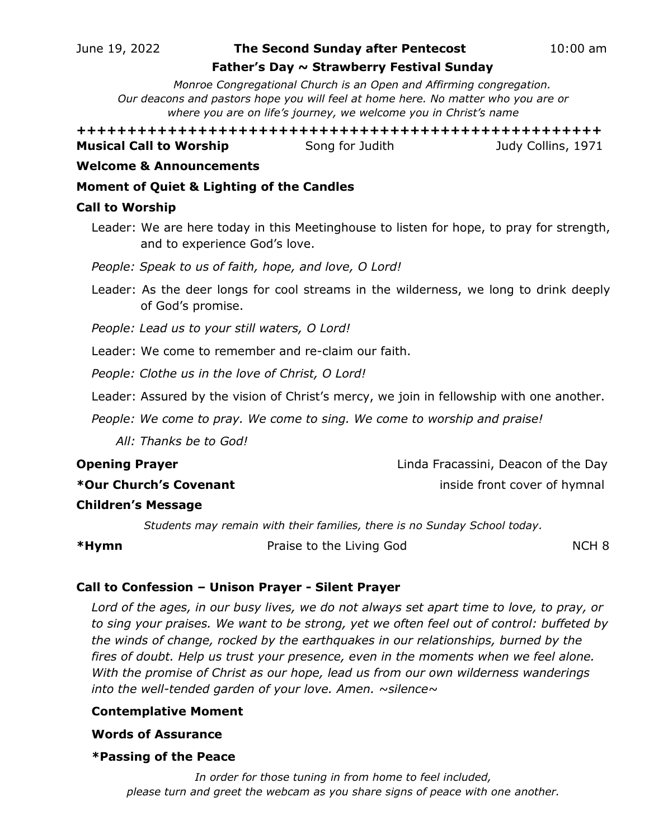#### June 19, 2022 **The Second Sunday after Pentecost**10:00 am

#### **Father's Day ~ Strawberry Festival Sunday**

*Monroe Congregational Church is an Open and Affirming congregation. Our deacons and pastors hope you will feel at home here. No matter who you are or where you are on life's journey, we welcome you in Christ's name*

**++++++++++++++++++++++++++++++++++++++++++++++++++++ Musical Call to Worship Song for Judith** *Song to Budy Collins, 1971* 

#### **Welcome & Announcements**

## **Moment of Quiet & Lighting of the Candles**

#### **Call to Worship**

- Leader: We are here today in this Meetinghouse to listen for hope, to pray for strength, and to experience God's love.
- *People: Speak to us of faith, hope, and love, O Lord!*
- Leader: As the deer longs for cool streams in the wilderness, we long to drink deeply of God's promise.
- *People: Lead us to your still waters, O Lord!*
- Leader: We come to remember and re-claim our faith.
- *People: Clothe us in the love of Christ, O Lord!*
- Leader: Assured by the vision of Christ's mercy, we join in fellowship with one another.

*People: We come to pray. We come to sing. We come to worship and praise!*

 *All: Thanks be to God!*

**Opening Prayer** Linda Fracassini, Deacon of the Day

**\*Our Church's Covenant** inside front cover of hymnal

## **Children's Message**

*Students may remain with their families, there is no Sunday School today.*

**\*Hymn** Praise to the Living God NCH 8

## **Call to Confession – Unison Prayer - Silent Prayer**

*Lord of the ages, in our busy lives, we do not always set apart time to love, to pray, or to sing your praises. We want to be strong, yet we often feel out of control: buffeted by the winds of change, rocked by the earthquakes in our relationships, burned by the fires of doubt. Help us trust your presence, even in the moments when we feel alone. With the promise of Christ as our hope, lead us from our own wilderness wanderings into the well-tended garden of your love. Amen. ~silence~*

## **Contemplative Moment**

#### **Words of Assurance**

#### **\*Passing of the Peace**

*In order for those tuning in from home to feel included, please turn and greet the webcam as you share signs of peace with one another.*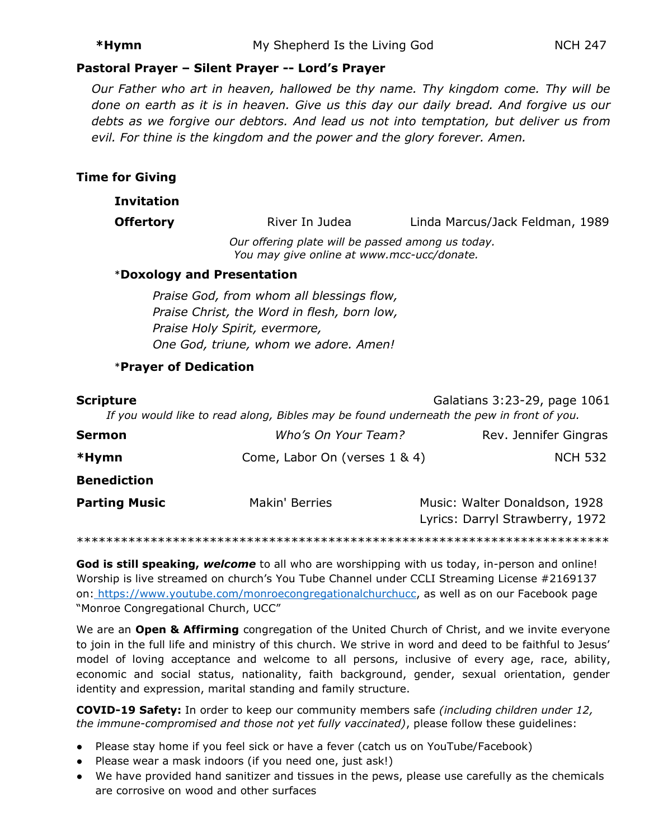#### **Pastoral Prayer – Silent Prayer -- Lord's Prayer**

*Our Father who art in heaven, hallowed be thy name. Thy kingdom come. Thy will be done on earth as it is in heaven. Give us this day our daily bread. And forgive us our debts as we forgive our debtors. And lead us not into temptation, but deliver us from evil. For thine is the kingdom and the power and the glory forever. Amen.*

#### **Time for Giving**

#### **Invitation**

**Offertory River In Judea** Linda Marcus/Jack Feldman, 1989

*Our offering plate will be passed among us today. You may give online at [www.mcc-ucc/donate.](http://www.mcc-ucc/donate)*

#### \***Doxology and Presentation**

*Praise God, from whom all blessings flow, Praise Christ, the Word in flesh, born low, Praise Holy Spirit, evermore, One God, triune, whom we adore. Amen!* 

## \***Prayer of Dedication**

| <b>Scripture</b>     |                                                 | Galatians 3:23-29, page 1061<br>If you would like to read along, Bibles may be found underneath the pew in front of you. |
|----------------------|-------------------------------------------------|--------------------------------------------------------------------------------------------------------------------------|
| Sermon               | Who's On Your Team?                             | Rev. Jennifer Gingras                                                                                                    |
| *Hymn                | Come, Labor On (verses 1 & 4)<br><b>NCH 532</b> |                                                                                                                          |
| <b>Benediction</b>   |                                                 |                                                                                                                          |
| <b>Parting Music</b> | Makin' Berries                                  | Music: Walter Donaldson, 1928<br>Lyrics: Darryl Strawberry, 1972                                                         |
|                      |                                                 |                                                                                                                          |

**God is still speaking,** *welcome* to all who are worshipping with us today, in-person and online! Worship is live streamed on church's You Tube Channel under CCLI Streaming License #2169137 on: [https://www.youtube.com/monroecongregationalchurchucc,](https://www.youtube.com/monroecongregationalchurchucc) as well as on our Facebook page "Monroe Congregational Church, UCC"

We are an **Open & Affirming** congregation of the United Church of Christ, and we invite everyone to join in the full life and ministry of this church. We strive in word and deed to be faithful to Jesus' model of loving acceptance and welcome to all persons, inclusive of every age, race, ability, economic and social status, nationality, faith background, gender, sexual orientation, gender identity and expression, marital standing and family structure.

**COVID-19 Safety:** In order to keep our community members safe *(including children under 12, the immune-compromised and those not yet fully vaccinated)*, please follow these guidelines:

- Please stay home if you feel sick or have a fever (catch us on YouTube/Facebook)
- Please wear a mask indoors (if you need one, just ask!)
- We have provided hand sanitizer and tissues in the pews, please use carefully as the chemicals are corrosive on wood and other surfaces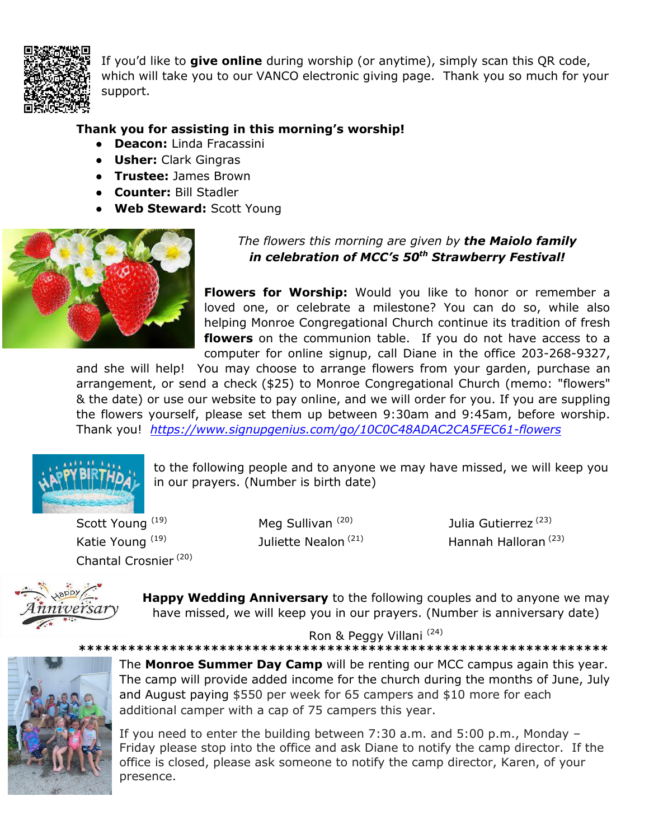

If you'd like to **give online** during worship (or anytime), simply scan this QR code, which will take you to our VANCO electronic giving page. Thank you so much for your support.

## **Thank you for assisting in this morning's worship!**

- **Deacon:** Linda Fracassini
- **Usher:** Clark Gingras
- **Trustee:** James Brown
- **Counter:** Bill Stadler
- **Web Steward:** Scott Young



## *The flowers this morning are given by the Maiolo family in celebration of MCC's 50th Strawberry Festival!*

**Flowers for Worship:** Would you like to honor or remember a loved one, or celebrate a milestone? You can do so, while also helping Monroe Congregational Church continue its tradition of fresh **flowers** on the communion table. If you do not have access to a computer for online signup, call Diane in the office 203-268-9327,

and she will help! You may choose to arrange flowers from your garden, purchase an arrangement, or send a check (\$25) to Monroe Congregational Church (memo: "flowers" & the date) or use our website to pay online, and we will order for you. If you are suppling the flowers yourself, please set them up between 9:30am and 9:45am, before worship. Thank you! *<https://www.signupgenius.com/go/10C0C48ADAC2CA5FEC61-flowers>*



to the following people and to anyone we may have missed, we will keep you in our prayers. (Number is birth date)

Scott Young<sup>(19)</sup> Katie Young<sup>(19)</sup> Chantal Crosnier (20) Meg Sullivan<sup>(20)</sup> Juliette Nealon<sup>(21)</sup> Julia Gutierrez<sup>(23)</sup> Hannah Halloran (23)



**Happy Wedding Anniversary** to the following couples and to anyone we may have missed, we will keep you in our prayers. (Number is anniversary date)

Ron & Peggy Villani (24)

**\*\*\*\*\*\*\*\*\*\*\*\*\*\*\*\*\*\*\*\*\*\*\*\*\*\*\*\*\*\*\*\*\*\*\*\*\*\*\*\*\*\*\*\*\*\*\*\*\*\*\*\*\*\*\*\*\*\*\*\*\*\*\*\***



The **Monroe Summer Day Camp** will be renting our MCC campus again this year. The camp will provide added income for the church during the months of June, July and August paying \$550 per week for 65 campers and \$10 more for each additional camper with a cap of 75 campers this year.

If you need to enter the building between 7:30 a.m. and 5:00 p.m., Monday – Friday please stop into the office and ask Diane to notify the camp director. If the office is closed, please ask someone to notify the camp director, Karen, of your presence.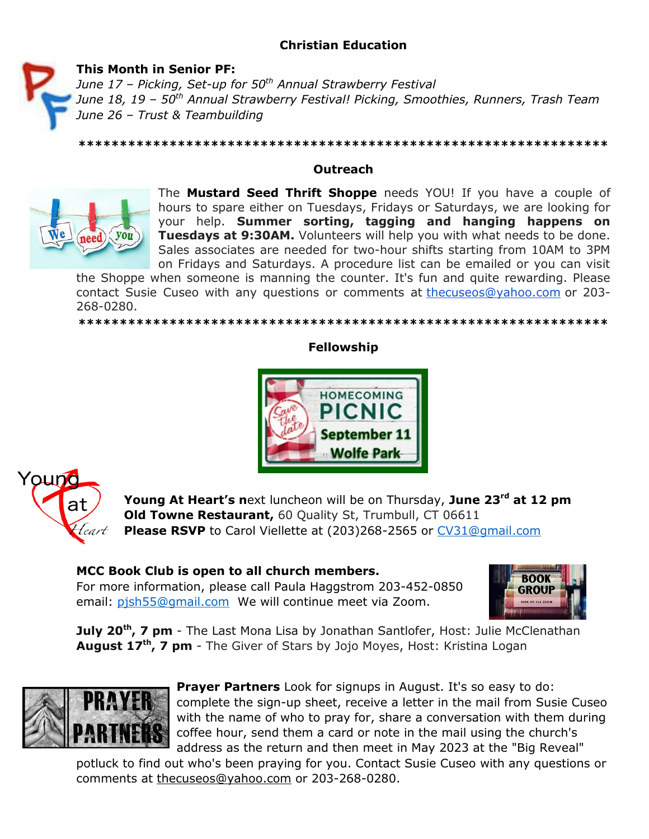# **Christian Education**

*June 17 – Picking, Set-up for 50th Annual Strawberry Festival*



**This Month in Senior PF:** 

*June 18, 19 – 50th Annual Strawberry Festival! Picking, Smoothies, Runners, Trash Team June 26 – Trust & Teambuilding*

## **Outreach**

The **Mustard Seed Thrift Shoppe** needs YOU! If you have a couple of hours to spare either on Tuesdays, Fridays or Saturdays, we are looking for your help. **Summer sorting, tagging and hanging happens on Tuesdays at 9:30AM.** Volunteers will help you with what needs to be done. Sales associates are needed for two-hour shifts starting from 10AM to 3PM on Fridays and Saturdays. A procedure list can be emailed or you can visit

the Shoppe when someone is manning the counter. It's fun and quite rewarding. Please contact Susie Cuseo with any questions or comments at [thecuseos@yahoo.com](mailto:thecuseos@yahoo.com) or 203- 268-0280.

#### **\*\*\*\*\*\*\*\*\*\*\*\*\*\*\*\*\*\*\*\*\*\*\*\*\*\*\*\*\*\*\*\*\*\*\*\*\*\*\*\*\*\*\*\*\*\*\*\*\*\*\*\*\*\*\*\*\*\*\*\*\*\*\*\***

#### **Fellowship**





**Young At Heart's n**ext luncheon will be on Thursday, **June 23rd at 12 pm Old Towne Restaurant, 60 Quality St, Trumbull, CT 06611 Please RSVP** to Carol Viellette at (203)268-2565 or [CV31@gmail.com](mailto:CV31@gmail.com)

## **MCC Book Club is open to all church members.**

For more information, please call Paula Haggstrom 203-452-0850 email: [pjsh55@gmail.com](mailto:pjsh55@gmail.com) We will continue meet via Zoom.



**July 20th, 7 pm** - The Last Mona Lisa by Jonathan Santlofer, Host: Julie McClenathan **August 17 th, 7 pm** - The Giver of Stars by Jojo Moyes, Host: Kristina Logan



**Prayer Partners** Look for signups in August. It's so easy to do: complete the sign-up sheet, receive a letter in the mail from Susie Cuseo with the name of who to pray for, share a conversation with them during coffee hour, send them a card or note in the mail using the church's address as the return and then meet in May 2023 at the "Big Reveal"

potluck to find out who's been praying for you. Contact Susie Cuseo with any questions or comments at [thecuseos@yahoo.com](mailto:thecuseos@yahoo.com) or 203-268-0280.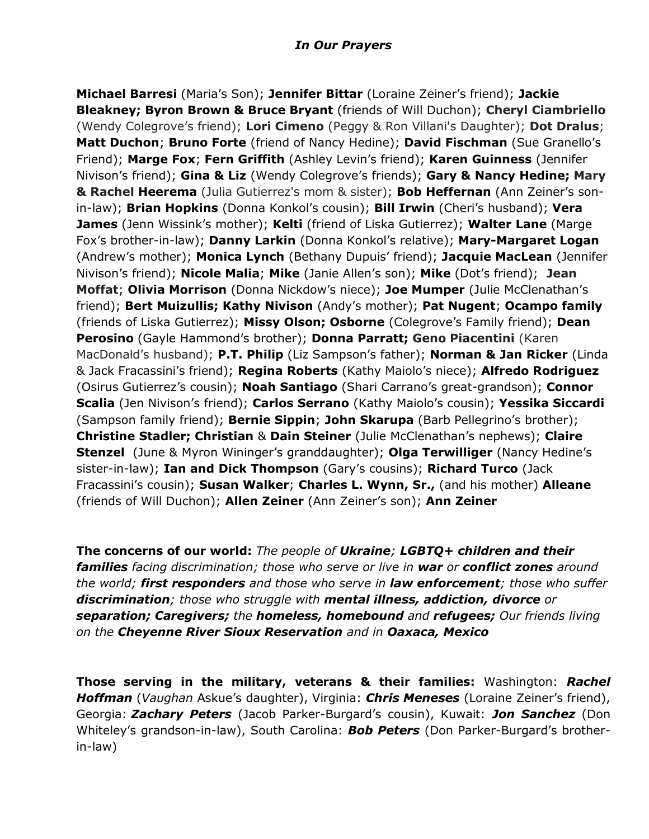## *In Our Prayers*

**Michael Barresi** (Maria's Son); **Jennifer Bittar** (Loraine Zeiner's friend); **Jackie Bleakney; Byron Brown & Bruce Bryant** (friends of Will Duchon); **Cheryl Ciambriello**  (Wendy Colegrove's friend); **Lori Cimeno** (Peggy & Ron Villani's Daughter); **Dot Dralus**; **Matt Duchon**; **Bruno Forte** (friend of Nancy Hedine); **David Fischman** (Sue Granello's Friend); **Marge Fox**; **Fern Griffith** (Ashley Levin's friend); **Karen Guinness** (Jennifer Nivison's friend); **Gina & Liz** (Wendy Colegrove's friends); **Gary & Nancy Hedine; Mary & Rachel Heerema** (Julia Gutierrez's mom & sister); **Bob Heffernan** (Ann Zeiner's sonin-law); **Brian Hopkins** (Donna Konkol's cousin); **Bill Irwin** (Cheri's husband); **Vera James** (Jenn Wissink's mother); **Kelti** (friend of Liska Gutierrez); **Walter Lane** (Marge Fox's brother-in-law); **Danny Larkin** (Donna Konkol's relative); **Mary-Margaret Logan**  (Andrew's mother); **Monica Lynch** (Bethany Dupuis' friend); **Jacquie MacLean** (Jennifer Nivison's friend); **Nicole Malia**; **Mike** (Janie Allen's son); **Mike** (Dot's friend); **Jean Moffat**; **Olivia Morrison** (Donna Nickdow's niece); **Joe Mumper** (Julie McClenathan's friend); **Bert Muizullis; Kathy Nivison** (Andy's mother); **Pat Nugent**; **Ocampo family**  (friends of Liska Gutierrez); **Missy Olson; Osborne** (Colegrove's Family friend); **Dean Perosino** (Gayle Hammond's brother); **Donna Parratt; Geno Piacentini** (Karen MacDonald's husband); **P.T. Philip** (Liz Sampson's father); **Norman & Jan Ricker** (Linda & Jack Fracassini's friend); **Regina Roberts** (Kathy Maiolo's niece); **Alfredo Rodriguez**  (Osirus Gutierrez's cousin); **Noah Santiago** (Shari Carrano's great-grandson); **Connor Scalia** (Jen Nivison's friend); **Carlos Serrano** (Kathy Maiolo's cousin); **Yessika Siccardi**  (Sampson family friend); **Bernie Sippin**; **John Skarupa** (Barb Pellegrino's brother); **Christine Stadler; Christian** & **Dain Steiner** (Julie McClenathan's nephews); **Claire Stenzel** (June & Myron Wininger's granddaughter); **Olga Terwilliger** (Nancy Hedine's sister-in-law); **Ian and Dick Thompson** (Gary's cousins); **Richard Turco** (Jack Fracassini's cousin); **Susan Walker**; **Charles L. Wynn, Sr.,** (and his mother) **Alleane**  (friends of Will Duchon); **Allen Zeiner** (Ann Zeiner's son); **Ann Zeiner** 

**The concerns of our world:** *The people of Ukraine; LGBTQ+ children and their families facing discrimination; those who serve or live in war or conflict zones around the world; first responders and those who serve in law enforcement; those who suffer discrimination; those who struggle with mental illness, addiction, divorce or separation; Caregivers; the homeless, homebound and refugees; Our friends living on the Cheyenne River Sioux Reservation and in Oaxaca, Mexico*

**Those serving in the military, veterans & their families:** Washington: *Rachel Hoffman* (*Vaughan* Askue's daughter), Virginia: *Chris Meneses* (Loraine Zeiner's friend), Georgia: *Zachary Peters* (Jacob Parker-Burgard's cousin), Kuwait: *Jon Sanchez* (Don Whiteley's grandson-in-law), South Carolina: *Bob Peters* (Don Parker-Burgard's brotherin-law)